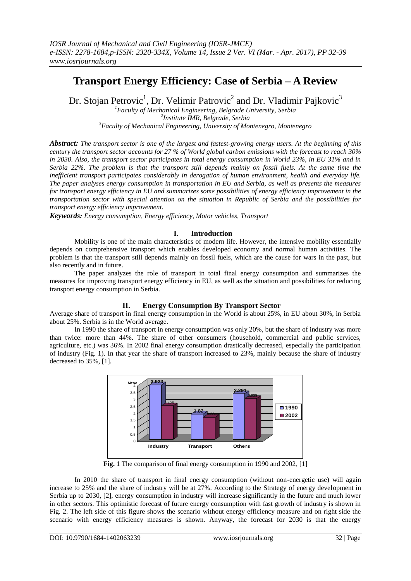# **Transport Energy Efficiency: Case of Serbia – A Review**

Dr. Stojan Petrovic<sup>1</sup>, Dr. Velimir Patrovic<sup>2</sup> and Dr. Vladimir Pajkovic<sup>3</sup>

*<sup>1</sup>Faculty of Mechanical Engineering, Belgrade University, Serbia 2 Institute IMR, Belgrade, Serbia <sup>3</sup>Faculty of Mechanical Engineering, University of Montenegro, Montenegro*

*Abstract: The transport sector is one of the largest and fastest-growing energy users. At the beginning of this century the transport sector accounts for 27 % of World global carbon emissions with the forecast to reach 30% in 2030. Also, the transport sector participates in total energy consumption in World 23%, in EU 31% and in Serbia 22%. The problem is that the transport still depends mainly on fossil fuels. At the same time the inefficient transport participates considerably in derogation of human environment, health and everyday life. The paper analyses energy consumption in transportation in EU and Serbia, as well as presents the measures for transport energy efficiency in EU and summarizes some possibilities of energy efficiency improvement in the transportation sector with special attention on the situation in Republic of Serbia and the possibilities for transport energy efficiency improvement.*

*Keywords: Energy consumption, Energy efficiency, Motor vehicles, Transport*

## **I. Introduction**

Mobility is one of the main characteristics of modern life. However, the intensive mobility essentially depends on comprehensive transport which enables developed economy and normal human activities. The problem is that the transport still depends mainly on fossil fuels, which are the cause for wars in the past, but also recently and in future.

The paper analyzes the role of transport in total final energy consumption and summarizes the measures for improving transport energy efficiency in EU, as well as the situation and possibilities for reducing transport energy consumption in Serbia.

### **II. Energy Consumption By Transport Sector**

Average share of transport in final energy consumption in the World is about 25%, in EU about 30%, in Serbia about 25%. Serbia is in the World average.

In 1990 the share of transport in energy consumption was only 20%, but the share of industry was more than twice: more than 44%. The share of other consumers (household, commercial and public services, agriculture, etc.) was 36%. In 2002 final energy consumption drastically decreased, especially the participation of industry (Fig. 1). In that year the share of transport increased to 23%, mainly because the share of industry decreased to 35%, [1].



**Fig. 1** The comparison of final energy consumption in 1990 and 2002, [1]

In 2010 the share of transport in final energy consumption (without non-energetic use) will again increase to 25% and the share of industry will be at 27%. According to the Strategy of energy development in Serbia up to 2030, [2], energy consumption in industry will increase significantly in the future and much lower in other sectors. This optimistic forecast of future energy consumption with fast growth of industry is shown in Fig. 2. The left side of this figure shows the scenario without energy efficiency measure and on right side the scenario with energy efficiency measures is shown. Anyway, the forecast for 2030 is that the energy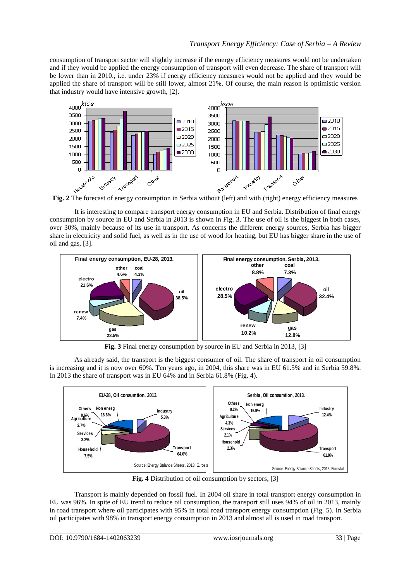consumption of transport sector will slightly increase if the energy efficiency measures would not be undertaken and if they would be applied the energy consumption of transport will even decrease. The share of transport will be lower than in 2010., i.e. under 23% if energy efficiency measures would not be applied and they would be applied the share of transport will be still lower, almost 21%. Of course, the main reason is optimistic version that industry would have intensive growth, [2].



**Fig. 2** The forecast of energy consumption in Serbia without (left) and with (right) energy efficiency measures

It is interesting to compare transport energy consumption in EU and Serbia. Distribution of final energy consumption by source in EU and Serbia in 2013 is shown in Fig. 3. The use of oil is the biggest in both cases, over 30%, mainly because of its use in transport. As concerns the different energy sources, Serbia has bigger share in electricity and solid fuel, as well as in the use of wood for heating, but EU has bigger share in the use of oil and gas, [3].



**Fig. 3** Final energy consumption by source in EU and Serbia in 2013, [3]

As already said, the transport is the biggest consumer of oil. The share of transport in oil consumption is increasing and it is now over 60%. Ten years ago, in 2004, this share was in EU 61.5% and in Serbia 59.8%. In 2013 the share of transport was in EU 64% and in Serbia 61.8% (Fig. 4).



**Fig. 4** Distribution of oil consumption by sectors, [3]

Transport is mainly depended on fossil fuel. In 2004 oil share in total transport energy consumption in EU was 96%. In spite of EU trend to reduce oil consumption, the transport still uses 94% of oil in 2013, mainly in road transport where oil participates with 95% in total road transport energy consumption (Fig. 5). In Serbia oil participates with 98% in transport energy consumption in 2013 and almost all is used in road transport.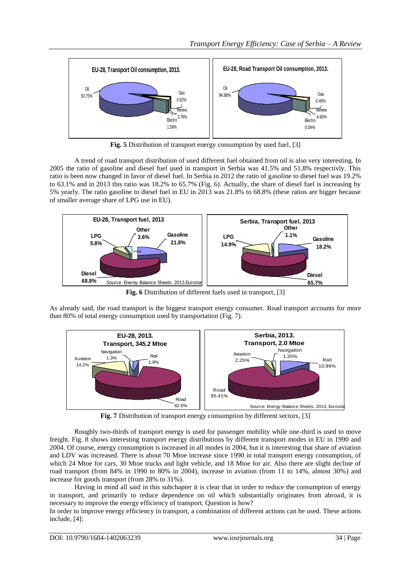

**Fig. 5** Distribution of transport energy consumption by used fuel, [3]

A trend of road transport distribution of used different fuel obtained from oil is also very interesting. In 2005 the ratio of gasoline and diesel fuel used in transport in Serbia was 41.5% and 51.8% respectivly. This ratio is been now changed in favor of diesel fuel. In Serbia in 2012 the ratio of gasoline to diesel fuel was 19.2% to 63.1% and in 2013 this ratio was 18.2% to 65.7% (Fig. 6). Actually, the share of diesel fuel is increasing by 5% yearly. The ratio gasoline to diesel fuel in EU in 2013 was 21.8% to 68.8% (these ratios are bigger because of smaller average share of LPG use in EU).



**Fig. 6** Distribution of different fuels used in transport, [3]

As already said, the road transport is the biggest transport energy consumer. Road transport accounts for more than 80% of total energy consumption used by transportation (Fig. 7).



**Fig. 7** Distribution of transport energy consumption by different sectors, [3]

Roughly two-thirds of transport energy is used for passenger mobility while one-third is used to move freight. Fig. 8 shows interesting transport energy distributions by different transport modes in EU in 1990 and 2004. Of course, energy consumption is increased in all modes in 2004, but it is interesting that share of aviation and LDV was increased. There is about 70 Mtoe increase since 1990 in total transport energy consumption, of which 24 Mtoe for cars, 30 Mtoe trucks and light vehicle, and 18 Mtoe for air. Also there are slight decline of road transport (from 84% in 1990 to 80% in 2004), increase in aviation (from 11 to 14%, almost 30%) and increase for goods transport (from 28% to 31%).

Having in mind all said in this subchapter it is clear that in order to reduce the consumption of energy in transport, and primarily to reduce dependence on oil which substantially originates from abroad, it is necessary to improve the energy efficiency of transport. Question is how?

In order to improve energy efficiency in transport, a combination of different actions can be used. These actions include, [4]: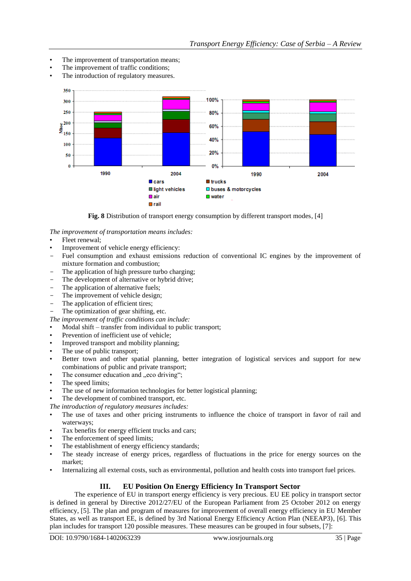- The improvement of transportation means;
- The improvement of traffic conditions;
- The introduction of regulatory measures.



**Fig. 8** Distribution of transport energy consumption by different transport modes, [4]

*The improvement of transportation means includes:*

- Fleet renewal;
- Improvement of vehicle energy efficiency:
- Fuel consumption and exhaust emissions reduction of conventional IC engines by the improvement of mixture formation and combustion;
- The application of high pressure turbo charging;
- The development of alternative or hybrid drive;
- The application of alternative fuels;
- The improvement of vehicle design;
- The application of efficient tires;
- The optimization of gear shifting, etc.

*The improvement of traffic conditions can include:*

- Modal shift transfer from individual to public transport;
- Prevention of inefficient use of vehicle;
- Improved transport and mobility planning;
- The use of public transport;
- Better town and other spatial planning, better integration of logistical services and support for new combinations of public and private transport;
- The consumer education and "eco driving";
- The speed limits;
- The use of new information technologies for better logistical planning;

The development of combined transport, etc.

*The introduction of regulatory measures includes:*

- The use of taxes and other pricing instruments to influence the choice of transport in favor of rail and waterways;
- Tax benefits for energy efficient trucks and cars;
- The enforcement of speed limits;
- The establishment of energy efficiency standards;
- The steady increase of energy prices, regardless of fluctuations in the price for energy sources on the market;
- Internalizing all external costs, such as environmental, pollution and health costs into transport fuel prices.

### **III. EU Position On Energy Efficiency In Transport Sector**

The experience of EU in transport energy efficiency is very precious. EU EE policy in transport sector is defined in general by Directive 2012/27/EU of the European Parliament from 25 October 2012 on energy efficiency, [5]. The plan and program of measures for improvement of overall energy efficiency in EU Member States, as well as transport EE, is defined by 3rd National Energy Efficiency Action Plan (NEEAP3), [6]. This plan includes for transport 120 possible measures. These measures can be grouped in four subsets, [7]: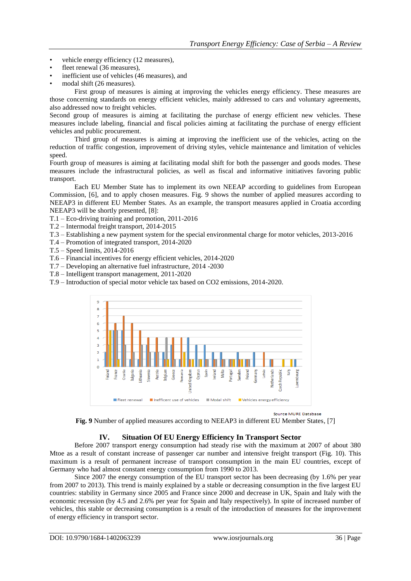- vehicle energy efficiency (12 measures),
- fleet renewal (36 measures),
- inefficient use of vehicles (46 measures), and
- modal shift (26 measures).

First group of measures is aiming at improving the vehicles energy efficiency. These measures are those concerning standards on energy efficient vehicles, mainly addressed to cars and voluntary agreements, also addressed now to freight vehicles.

Second group of measures is aiming at facilitating the purchase of energy efficient new vehicles. These measures include labeling, financial and fiscal policies aiming at facilitating the purchase of energy efficient vehicles and public procurement.

Third group of measures is aiming at improving the inefficient use of the vehicles, acting on the reduction of traffic congestion, improvement of driving styles, vehicle maintenance and limitation of vehicles speed.

Fourth group of measures is aiming at facilitating modal shift for both the passenger and goods modes. These measures include the infrastructural policies, as well as fiscal and informative initiatives favoring public transport.

Each EU Member State has to implement its own NEEAP according to guidelines from European Commission, [6], and to apply chosen measures. Fig. 9 shows the number of applied measures according to NEEAP3 in different EU Member States. As an example, the transport measures applied in Croatia according NEEAP3 will be shortly presented, [8]:

T.1 – Eco-driving training and promotion, 2011-2016

- T.2 Intermodal freight transport, 2014-2015
- T.3 Establishing a new payment system for the special environmental charge for motor vehicles, 2013-2016
- T.4 Promotion of integrated transport, 2014-2020

T.5 – Speed limits, 2014-2016

T.6 – Financial incentives for energy efficient vehicles, 2014-2020

T.7 – Developing an alternative fuel infrastructure, 2014 -2030

T.8 – Intelligent transport management, 2011-2020

T.9 – Introduction of special motor vehicle tax based on CO2 emissions, 2014-2020.



Source MURE Database

**Fig. 9** Number of applied measures according to NEEAP3 in different EU Member States, [7]

### **IV. Situation Of EU Energy Efficiency In Transport Sector**

Before 2007 transport energy consumption had steady rise with the maximum at 2007 of about 380 Mtoe as a result of constant increase of passenger car number and intensive freight transport (Fig. 10). This maximum is a result of permanent increase of transport consumption in the main EU countries, except of Germany who had almost constant energy consumption from 1990 to 2013.

Since 2007 the energy consumption of the EU transport sector has been decreasing (by 1.6% per year from 2007 to 2013). This trend is mainly explained by a stable or decreasing consumption in the five largest EU countries: stability in Germany since 2005 and France since 2000 and decrease in UK, Spain and Italy with the economic recession (by 4.5 and 2.6% per year for Spain and Italy respectively). In spite of increased number of vehicles, this stable or decreasing consumption is a result of the introduction of measures for the improvement of energy efficiency in transport sector.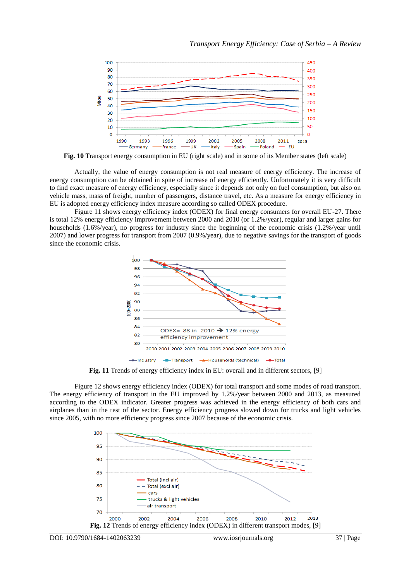

**Fig. 10** Transport energy consumption in EU (right scale) and in some of its Member states (left scale)

Actually, the value of energy consumption is not real measure of energy efficiency. The increase of energy consumption can be obtained in spite of increase of energy efficiently. Unfortunately it is very difficult to find exact measure of energy efficiency, especially since it depends not only on fuel consumption, but also on vehicle mass, mass of freight, number of passengers, distance travel, etc. As a measure for energy efficiency in EU is adopted energy efficiency index measure according so called ODEX procedure.

Figure 11 shows energy efficiency index (ODEX) for final energy consumers for overall EU-27. There is total 12% energy efficiency improvement between 2000 and 2010 (or 1.2%/year), regular and larger gains for households (1.6%/year), no progress for industry since the beginning of the economic crisis (1.2%/year until 2007) and lower progress for transport from 2007 (0.9%/year), due to negative savings for the transport of goods since the economic crisis.



**Fig. 11** Trends of energy efficiency index in EU: overall and in different sectors, [9]

Figure 12 shows energy efficiency index (ODEX) for total transport and some modes of road transport. The energy efficiency of transport in the EU improved by 1.2%/year between 2000 and 2013, as measured according to the ODEX indicator. Greater progress was achieved in the energy efficiency of both cars and airplanes than in the rest of the sector. Energy efficiency progress slowed down for trucks and light vehicles since 2005, with no more efficiency progress since 2007 because of the economic crisis.

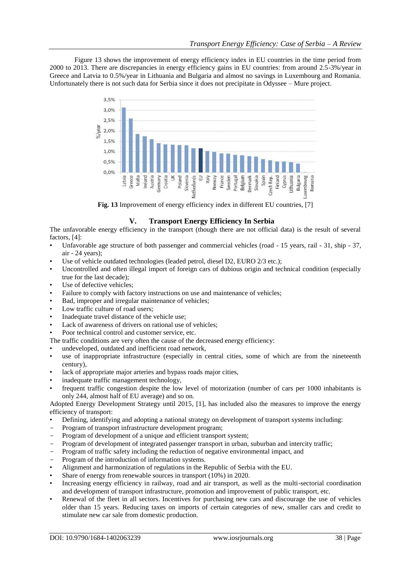Figure 13 shows the improvement of energy efficiency index in EU countries in the time period from 2000 to 2013. There are discrepancies in energy efficiency gains in EU countries: from around 2.5-3%/year in Greece and Latvia to 0.5%/year in Lithuania and Bulgaria and almost no savings in Luxembourg and Romania. Unfortunately there is not such data for Serbia since it does not precipitate in Odyssee – Mure project.



**Fig. 13** Improvement of energy efficiency index in different EU countries, [7]

### **V. Transport Energy Efficiency In Serbia**

The unfavorable energy efficiency in the transport (though there are not official data) is the result of several factors, [4]:

- Unfavorable age structure of both passenger and commercial vehicles (road 15 years, rail 31, ship 37, air - 24 years);
- Use of vehicle outdated technologies (leaded petrol, diesel D2, EURO 2/3 etc.);
- Uncontrolled and often illegal import of foreign cars of dubious origin and technical condition (especially true for the last decade);
- Use of defective vehicles:
- Failure to comply with factory instructions on use and maintenance of vehicles;
- Bad, improper and irregular maintenance of vehicles;
- Low traffic culture of road users;
- Inadequate travel distance of the vehicle use;
- Lack of awareness of drivers on rational use of vehicles;
- Poor technical control and customer service, etc.
- The traffic conditions are very often the cause of the decreased energy efficiency:
- undeveloped, outdated and inefficient road network,
- use of inappropriate infrastructure (especially in central cities, some of which are from the nineteenth century),
- lack of appropriate major arteries and bypass roads major cities,
- inadequate traffic management technology,
- frequent traffic congestion despite the low level of motorization (number of cars per 1000 inhabitants is only 244, almost half of EU average) and so on.

Adopted Energy Development Strategy until 2015, [1], has included also the measures to improve the energy efficiency of transport:

- Defining, identifying and adopting a national strategy on development of transport systems including:
- Program of transport infrastructure development program;
- Program of development of a unique and efficient transport system;
- Program of development of integrated passenger transport in urban, suburban and intercity traffic;
- Program of traffic safety including the reduction of negative environmental impact, and
- Program of the introduction of information systems.
- Alignment and harmonization of regulations in the Republic of Serbia with the EU.
- Share of energy from renewable sources in transport (10%) in 2020.
- Increasing energy efficiency in railway, road and air transport, as well as the multi-sectorial coordination and development of transport infrastructure, promotion and improvement of public transport, etc.
- Renewal of the fleet in all sectors. Incentives for purchasing new cars and discourage the use of vehicles older than 15 years. Reducing taxes on imports of certain categories of new, smaller cars and credit to stimulate new car sale from domestic production.